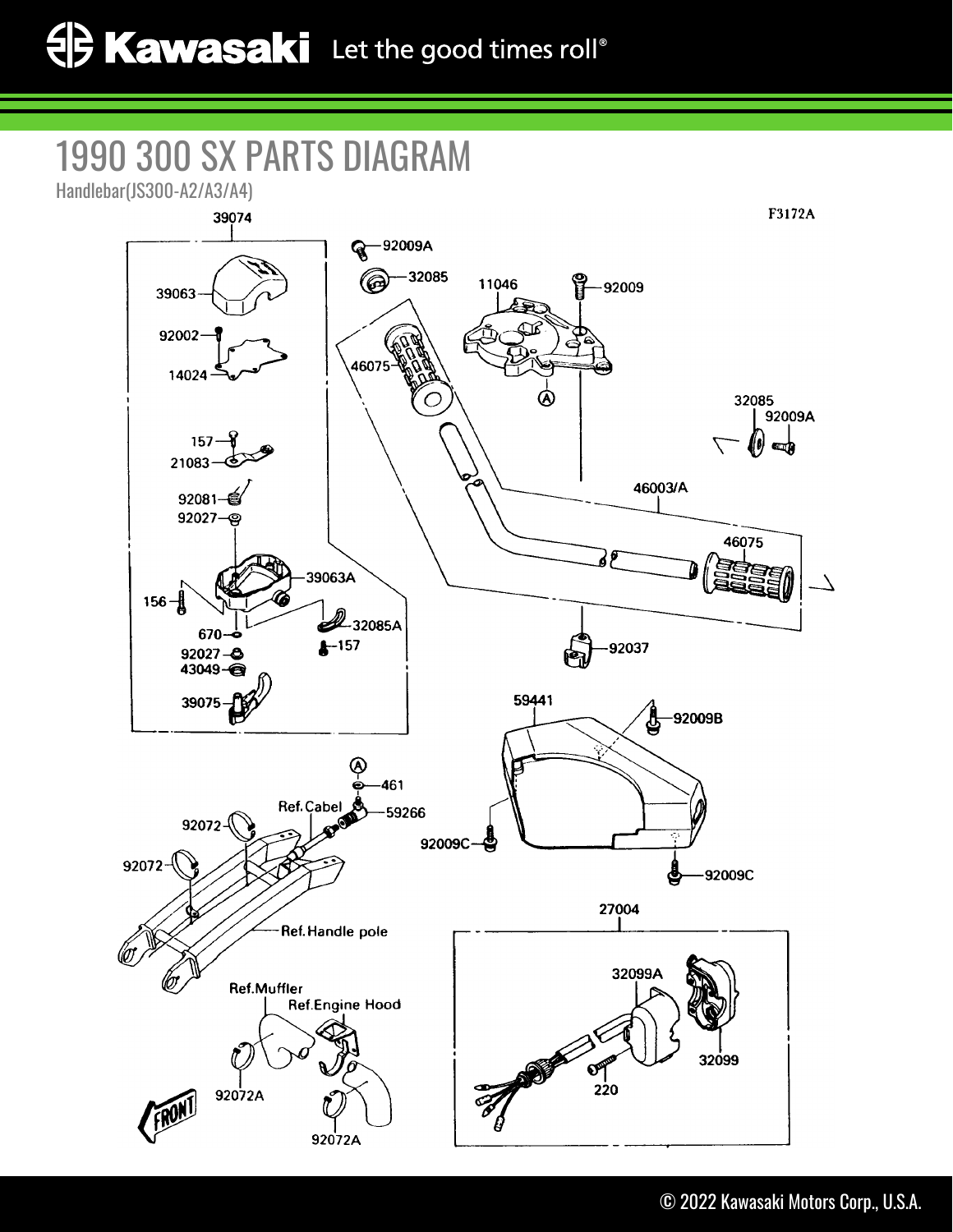## 1990 300 SX PARTS DIAGRAM

Handlebar(JS300-A2/A3/A4)

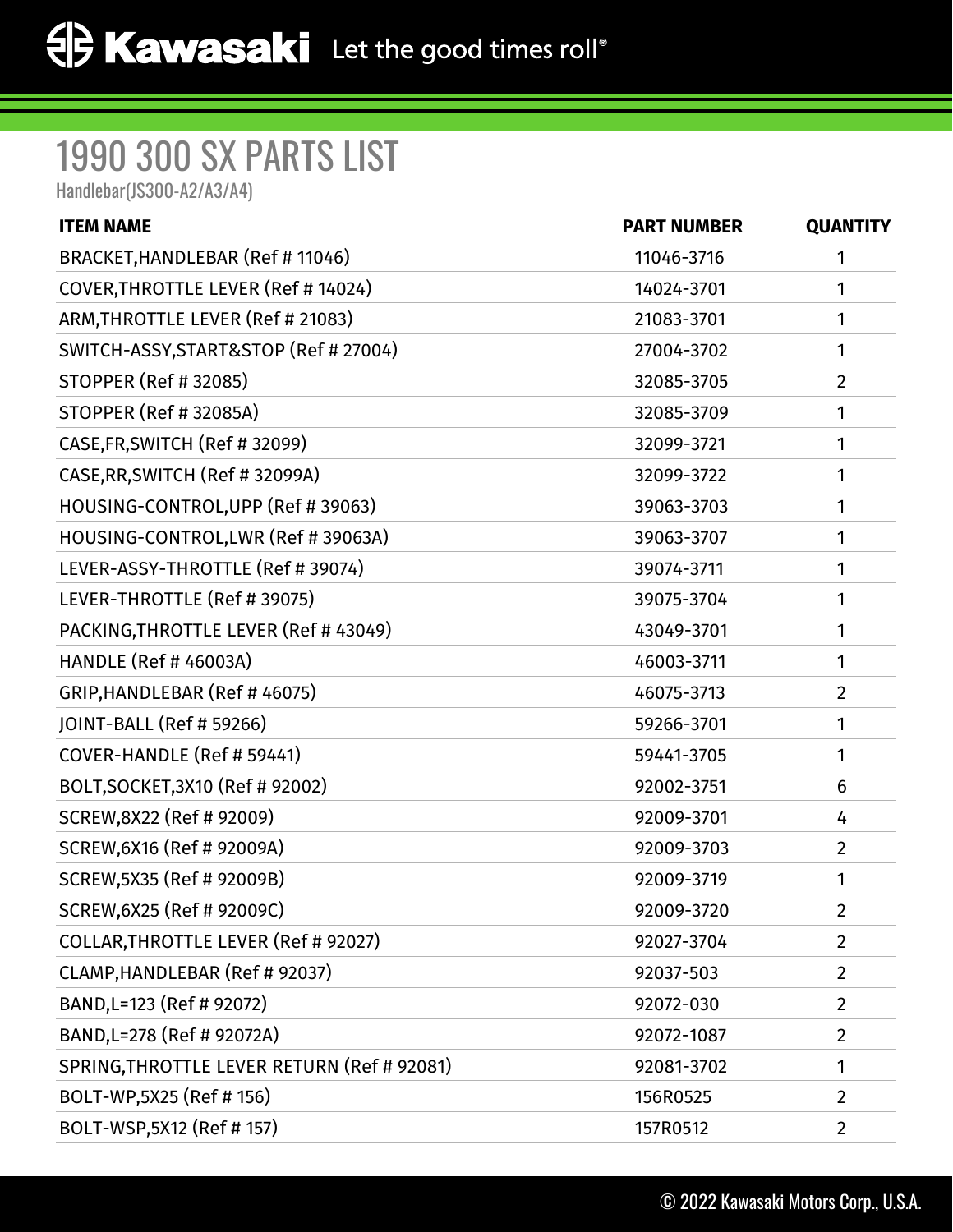## 1990 300 SX PARTS LIST

Handlebar(JS300-A2/A3/A4)

| <b>ITEM NAME</b>                            | <b>PART NUMBER</b> | <b>QUANTITY</b> |
|---------------------------------------------|--------------------|-----------------|
| BRACKET, HANDLEBAR (Ref # 11046)            | 11046-3716         | 1               |
| COVER, THROTTLE LEVER (Ref # 14024)         | 14024-3701         | 1               |
| ARM, THROTTLE LEVER (Ref # 21083)           | 21083-3701         | 1               |
| SWITCH-ASSY, START&STOP (Ref # 27004)       | 27004-3702         | 1               |
| <b>STOPPER (Ref # 32085)</b>                | 32085-3705         | $\overline{2}$  |
| <b>STOPPER (Ref # 32085A)</b>               | 32085-3709         | 1               |
| CASE, FR, SWITCH (Ref # 32099)              | 32099-3721         | 1               |
| CASE, RR, SWITCH (Ref # 32099A)             | 32099-3722         | 1               |
| HOUSING-CONTROL, UPP (Ref # 39063)          | 39063-3703         | 1               |
| HOUSING-CONTROL, LWR (Ref # 39063A)         | 39063-3707         | 1               |
| LEVER-ASSY-THROTTLE (Ref # 39074)           | 39074-3711         | 1               |
| LEVER-THROTTLE (Ref # 39075)                | 39075-3704         | 1               |
| PACKING, THROTTLE LEVER (Ref # 43049)       | 43049-3701         | 1               |
| <b>HANDLE (Ref # 46003A)</b>                | 46003-3711         | 1               |
| GRIP, HANDLEBAR (Ref #46075)                | 46075-3713         | $\overline{2}$  |
| JOINT-BALL (Ref # 59266)                    | 59266-3701         | 1               |
| COVER-HANDLE (Ref # 59441)                  | 59441-3705         | 1               |
| BOLT, SOCKET, 3X10 (Ref # 92002)            | 92002-3751         | 6               |
| SCREW, 8X22 (Ref # 92009)                   | 92009-3701         | 4               |
| SCREW, 6X16 (Ref # 92009A)                  | 92009-3703         | $\overline{2}$  |
| SCREW, 5X35 (Ref # 92009B)                  | 92009-3719         | 1               |
| SCREW, 6X25 (Ref # 92009C)                  | 92009-3720         | $\overline{2}$  |
| COLLAR, THROTTLE LEVER (Ref # 92027)        | 92027-3704         | $\overline{2}$  |
| CLAMP, HANDLEBAR (Ref # 92037)              | 92037-503          | $\overline{2}$  |
| BAND, L=123 (Ref # 92072)                   | 92072-030          | $\overline{2}$  |
| BAND, L=278 (Ref # 92072A)                  | 92072-1087         | $\overline{2}$  |
| SPRING, THROTTLE LEVER RETURN (Ref # 92081) | 92081-3702         | 1               |
| BOLT-WP,5X25 (Ref # 156)                    | 156R0525           | $\overline{2}$  |
| BOLT-WSP,5X12 (Ref # 157)                   | 157R0512           | $\overline{2}$  |
|                                             |                    |                 |